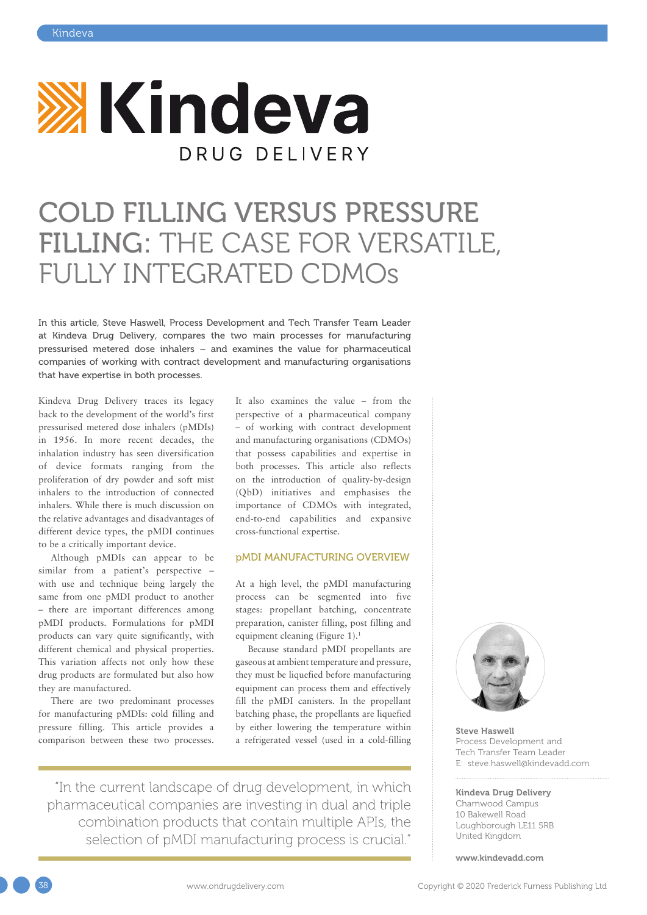

## COLD FILLING VERSUS PRESSURE FILLING: THE CASE FOR VERSATILE, FULLY INTEGRATED CDMOs

In this article, Steve Haswell, Process Development and Tech Transfer Team Leader at Kindeva Drug Delivery, compares the two main processes for manufacturing pressurised metered dose inhalers – and examines the value for pharmaceutical companies of working with contract development and manufacturing organisations that have expertise in both processes.

Kindeva Drug Delivery traces its legacy back to the development of the world's first pressurised metered dose inhalers (pMDIs) in 1956. In more recent decades, the inhalation industry has seen diversification of device formats ranging from the proliferation of dry powder and soft mist inhalers to the introduction of connected inhalers. While there is much discussion on the relative advantages and disadvantages of different device types, the pMDI continues to be a critically important device.

Although pMDIs can appear to be similar from a patient's perspective – with use and technique being largely the same from one pMDI product to another – there are important differences among pMDI products. Formulations for pMDI products can vary quite significantly, with different chemical and physical properties. This variation affects not only how these drug products are formulated but also how they are manufactured.

There are two predominant processes for manufacturing pMDIs: cold filling and pressure filling. This article provides a comparison between these two processes. It also examines the value – from the perspective of a pharmaceutical company – of working with contract development and manufacturing organisations (CDMOs) that possess capabilities and expertise in both processes. This article also reflects on the introduction of quality-by-design (QbD) initiatives and emphasises the importance of CDMOs with integrated, end-to-end capabilities and expansive cross-functional expertise.

#### pMDI MANUFACTURING OVERVIEW

At a high level, the pMDI manufacturing process can be segmented into five stages: propellant batching, concentrate preparation, canister filling, post filling and equipment cleaning (Figure 1).1

Because standard pMDI propellants are gaseous at ambient temperature and pressure, they must be liquefied before manufacturing equipment can process them and effectively fill the pMDI canisters. In the propellant batching phase, the propellants are liquefied by either lowering the temperature within a refrigerated vessel (used in a cold-filling

"In the current landscape of drug development, in which pharmaceutical companies are investing in dual and triple combination products that contain multiple APIs, the selection of pMDI manufacturing process is crucial."



Steve Haswell Process Development and Tech Transfer Team Leader E: [steve.haswell@kindevadd.com](mailto:steve.haswell@kindevadd.com)

#### Kindeva Drug Delivery

Charnwood Campus 10 Bakewell Road Loughborough LE11 5RB United Kingdom

[www.kindevadd.com](http://www.kindevadd.com)

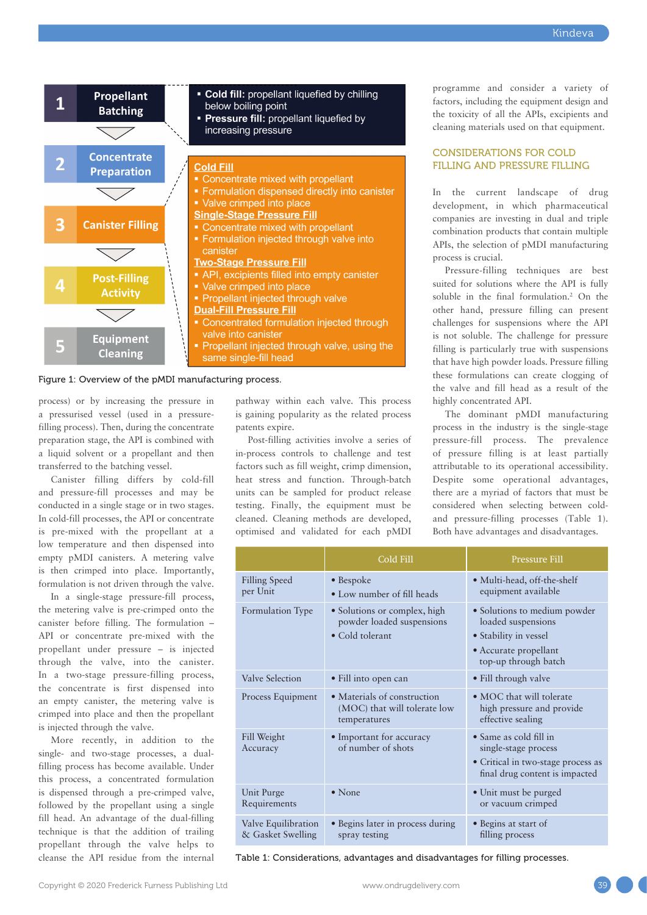

Figure 1: Overview of the pMDI manufacturing process.

process) or by increasing the pressure in a pressurised vessel (used in a pressurefilling process). Then, during the concentrate preparation stage, the API is combined with a liquid solvent or a propellant and then transferred to the batching vessel.

Canister filling differs by cold-fill and pressure-fill processes and may be conducted in a single stage or in two stages. In cold-fill processes, the API or concentrate is pre-mixed with the propellant at a low temperature and then dispensed into empty pMDI canisters. A metering valve is then crimped into place. Importantly, formulation is not driven through the valve.

In a single-stage pressure-fill process, the metering valve is pre-crimped onto the canister before filling. The formulation – API or concentrate pre-mixed with the propellant under pressure – is injected through the valve, into the canister. In a two-stage pressure-filling process, the concentrate is first dispensed into an empty canister, the metering valve is crimped into place and then the propellant is injected through the valve.

More recently, in addition to the single- and two-stage processes, a dualfilling process has become available. Under this process, a concentrated formulation is dispensed through a pre-crimped valve, followed by the propellant using a single fill head. An advantage of the dual-filling technique is that the addition of trailing propellant through the valve helps to cleanse the API residue from the internal pathway within each valve. This process is gaining popularity as the related process patents expire.

Post-filling activities involve a series of in-process controls to challenge and test factors such as fill weight, crimp dimension, heat stress and function. Through-batch units can be sampled for product release testing. Finally, the equipment must be cleaned. Cleaning methods are developed, optimised and validated for each pMDI

programme and consider a variety of factors, including the equipment design and the toxicity of all the APIs, excipients and cleaning materials used on that equipment.

#### CONSIDERATIONS FOR COLD FILLING AND PRESSURE FILLING

In the current landscape of drug development, in which pharmaceutical companies are investing in dual and triple combination products that contain multiple APIs, the selection of pMDI manufacturing process is crucial.

Pressure-filling techniques are best suited for solutions where the API is fully soluble in the final formulation.<sup>2</sup> On the other hand, pressure filling can present challenges for suspensions where the API is not soluble. The challenge for pressure filling is particularly true with suspensions that have high powder loads. Pressure filling these formulations can create clogging of the valve and fill head as a result of the highly concentrated API.

The dominant pMDI manufacturing process in the industry is the single-stage pressure-fill process. The prevalence of pressure filling is at least partially attributable to its operational accessibility. Despite some operational advantages, there are a myriad of factors that must be considered when selecting between coldand pressure-filling processes (Table 1). Both have advantages and disadvantages.

|                                          | Cold Fill                                                                    | Pressure Fill                                                                                                                |  |
|------------------------------------------|------------------------------------------------------------------------------|------------------------------------------------------------------------------------------------------------------------------|--|
| Filling Speed<br>per Unit                | $\bullet$ Bespoke<br>• Low number of fill heads                              | • Multi-head, off-the-shelf<br>equipment available                                                                           |  |
| Formulation Type                         | • Solutions or complex, high<br>powder loaded suspensions<br>• Cold tolerant | • Solutions to medium powder<br>loaded suspensions<br>• Stability in vessel<br>• Accurate propellant<br>top-up through batch |  |
| Valve Selection                          | · Fill into open can                                                         | • Fill through valve                                                                                                         |  |
| Process Equipment                        | • Materials of construction<br>(MOC) that will tolerate low<br>temperatures  | • MOC that will tolerate<br>high pressure and provide<br>effective sealing                                                   |  |
| Fill Weight<br>Accuracy                  | • Important for accuracy<br>of number of shots                               | • Same as cold fill in<br>single-stage process<br>• Critical in two-stage process as<br>final drug content is impacted       |  |
| Unit Purge<br>Requirements               | $\bullet$ None                                                               | • Unit must be purged<br>or vacuum crimped                                                                                   |  |
| Valve Equilibration<br>& Gasket Swelling | • Begins later in process during<br>spray testing                            | · Begins at start of<br>filling process                                                                                      |  |

Table 1: Considerations, advantages and disadvantages for filling processes.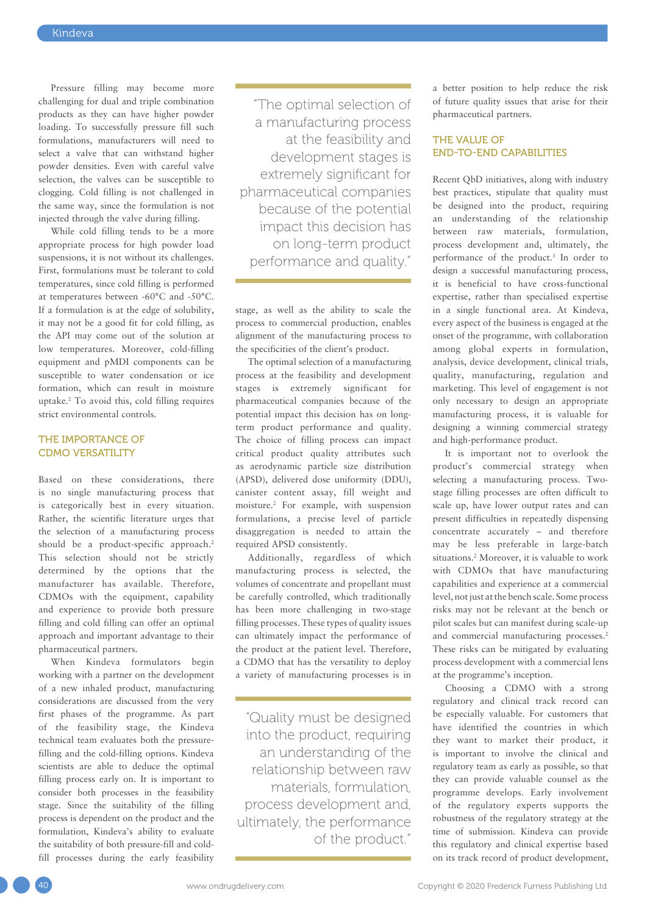Pressure filling may become more challenging for dual and triple combination products as they can have higher powder loading. To successfully pressure fill such formulations, manufacturers will need to select a valve that can withstand higher powder densities. Even with careful valve selection, the valves can be susceptible to clogging. Cold filling is not challenged in the same way, since the formulation is not injected through the valve during filling.

While cold filling tends to be a more appropriate process for high powder load suspensions, it is not without its challenges. First, formulations must be tolerant to cold temperatures, since cold filling is performed at temperatures between -60°C and -50°C. If a formulation is at the edge of solubility, it may not be a good fit for cold filling, as the API may come out of the solution at low temperatures. Moreover, cold-filling equipment and pMDI components can be susceptible to water condensation or ice formation, which can result in moisture uptake.2 To avoid this, cold filling requires strict environmental controls.

#### THE IMPORTANCE OF CDMO VERSATILITY

Based on these considerations, there is no single manufacturing process that is categorically best in every situation. Rather, the scientific literature urges that the selection of a manufacturing process should be a product-specific approach.<sup>2</sup> This selection should not be strictly determined by the options that the manufacturer has available. Therefore, CDMOs with the equipment, capability and experience to provide both pressure filling and cold filling can offer an optimal approach and important advantage to their pharmaceutical partners.

When Kindeva formulators begin working with a partner on the development of a new inhaled product, manufacturing considerations are discussed from the very first phases of the programme. As part of the feasibility stage, the Kindeva technical team evaluates both the pressurefilling and the cold-filling options. Kindeva scientists are able to deduce the optimal filling process early on. It is important to consider both processes in the feasibility stage. Since the suitability of the filling process is dependent on the product and the formulation, Kindeva's ability to evaluate the suitability of both pressure-fill and coldfill processes during the early feasibility

"The optimal selection of a manufacturing process at the feasibility and development stages is extremely significant for pharmaceutical companies because of the potential impact this decision has on long-term product performance and quality."

stage, as well as the ability to scale the process to commercial production, enables alignment of the manufacturing process to the specificities of the client's product.

The optimal selection of a manufacturing process at the feasibility and development stages is extremely significant for pharmaceutical companies because of the potential impact this decision has on longterm product performance and quality. The choice of filling process can impact critical product quality attributes such as aerodynamic particle size distribution (APSD), delivered dose uniformity (DDU), canister content assay, fill weight and moisture.2 For example, with suspension formulations, a precise level of particle disaggregation is needed to attain the required APSD consistently.

Additionally, regardless of which manufacturing process is selected, the volumes of concentrate and propellant must be carefully controlled, which traditionally has been more challenging in two-stage filling processes. These types of quality issues can ultimately impact the performance of the product at the patient level. Therefore, a CDMO that has the versatility to deploy a variety of manufacturing processes is in

"Quality must be designed into the product, requiring an understanding of the relationship between raw materials, formulation, process development and, ultimately, the performance of the product."

a better position to help reduce the risk of future quality issues that arise for their pharmaceutical partners.

#### THE VALUE OF END-TO-END CAPABILITIES

Recent QbD initiatives, along with industry best practices, stipulate that quality must be designed into the product, requiring an understanding of the relationship between raw materials, formulation, process development and, ultimately, the performance of the product.3 In order to design a successful manufacturing process, it is beneficial to have cross-functional expertise, rather than specialised expertise in a single functional area. At Kindeva, every aspect of the business is engaged at the onset of the programme, with collaboration among global experts in formulation, analysis, device development, clinical trials, quality, manufacturing, regulation and marketing. This level of engagement is not only necessary to design an appropriate manufacturing process, it is valuable for designing a winning commercial strategy and high-performance product.

It is important not to overlook the product's commercial strategy when selecting a manufacturing process. Twostage filling processes are often difficult to scale up, have lower output rates and can present difficulties in repeatedly dispensing concentrate accurately – and therefore may be less preferable in large-batch situations.<sup>2</sup> Moreover, it is valuable to work with CDMOs that have manufacturing capabilities and experience at a commercial level, not just at the bench scale. Some process risks may not be relevant at the bench or pilot scales but can manifest during scale-up and commercial manufacturing processes.<sup>2</sup> These risks can be mitigated by evaluating process development with a commercial lens at the programme's inception.

Choosing a CDMO with a strong regulatory and clinical track record can be especially valuable. For customers that have identified the countries in which they want to market their product, it is important to involve the clinical and regulatory team as early as possible, so that they can provide valuable counsel as the programme develops. Early involvement of the regulatory experts supports the robustness of the regulatory strategy at the time of submission. Kindeva can provide this regulatory and clinical expertise based on its track record of product development,